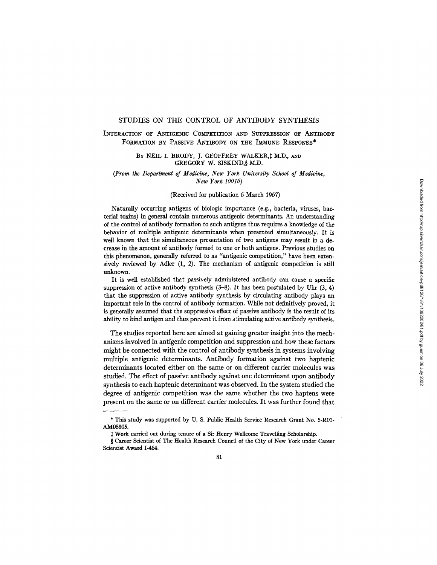## STUDIES ON THE CONTROL OF ANTIBODY SYNTHESIS

# INTERACTION OF ANTIGENIC COMPETITION AND SUPPRESSION OF ANTIBODY FORMATION BY PASSIVE ANTIBODY ON THE IMMUNE RESPONSE\*

### BY NEIL I. BRODY, J. GEOFFREY WALKER, I M.D., AND GREGORY W. SISKIND,§ M.D.

## *(From the Department of Medicine, New York University School of Medicine, New York 10016)*

#### (Received for publication 6 March 1967)

Naturally occurring antigens of biologic importance (e.g., bacteria, viruses, bacterial toxins) in general contain numerous antigenic determinants. An understanding of the control of antibody formation to such antigens thus requires a knowledge of the behavior of multiple antigenic determinants when presented simultaneously. It is well known that the simultaneous presentation of two antigens may result in a decrease in the amount of antibody formed to one or both antigens. Previous studies on this phenomenon, generally referred to as "antigenic competition," have been extensively reviewed by Adler (1, 2). The mechanism of antigenic competition is still unknown.

It is well established that passively administered antibody can cause a specific suppression of active antibody synthesis  $(3-8)$ . It has been postulated by Uhr  $(3, 4)$ that the suppression of active antibody synthesis by circulating antibody plays an important role in the control of antibody formation. While not definitively proved, it is generally assumed that the suppressive effect of passive antibody is the result of its ability to bind antigen and thus prevent it from stimulating active antibody synthesis.

The studies reported here are aimed at gaining greater insight into the mechanisms involved in antigenic competition and suppression and how these factors might be connected with the control of antibody synthesis in systems involving multiple antigenic determinants. Antibody formation against two haptenic determinants located either on the same or on different carrier molecules was studied. The effect of passive antibody against one determinant upon antibody synthesis to each haptenic determinant was observed. In the system studied the degree of antigenic competition was the same whether the two haptens were present on the same or on different carrier molecules. It was further found that

<sup>\*</sup> This study was supported by U. S. Public Health Service Research Grant No. 5-R01- AM08805.

 $\ddagger$  Work carried out during tenure of a Sir Henry Wellcome Travelling Scholarship.

<sup>§</sup> Career Scientist of The Health Research Council of the City of New York under Career Scientist Award 1-464.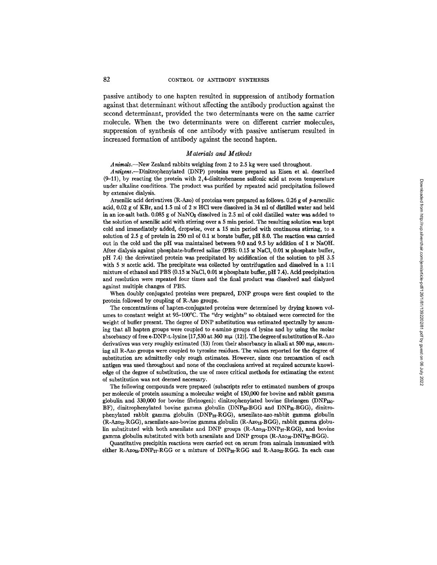passive antibody to one hapten resulted in suppression of antibody formation against that determinant without affecting the antibody production against the second determinant, provided the two determinants were on the same carrier molecule. When the two determinants were on different carrier molecules, suppression of synthesis of one antibody with passive antiserum resulted in increased formation of antibody against the second hapten.

## *Materials and Methods*

*Animals.*—New Zealand rabbits weighing from 2 to 2.5 kg were used throughout.

*Antigens.--Diifitrophenylated* (DNP) proteins were prepared as Eisen et al. described  $(9-11)$ , by reacting the protein with 2,4-dinitrobenzene sulfonic acid at room temperature under alkaline conditions. The product was purified by repeated acid precipitation followed by extensive dialysis.

Arsenilic acid derivatives (R-Azo) of proteins were prepared as follows. 0.26 g of  $\phi$ -arsenilic acid, 0.02 g of KBr, and 1.5 ml of 2  $\times$  HCl were dissolved in 34 ml of distilled water and held in an ice-salt bath. 0.085 g of NaNO2 dissolved in 2.5 ml of cold distilled water was added to the solution of arsenilic acid with stirring over a 5 min period. The resulting solution was kept cold and immediately added, dropwise, over a 15 min period with continuous stirring, to a solution of 2.5 g of protein in 250 ml of 0.1  $\mu$  borate buffer, pH 8.0. The reaction was carried out in the cold and the pH was maintained between 9.0 and 9.5 by addition of 1 N NaOH. After dialysis against phosphate-buffered saline (PBS:  $0.15 ~M$  NaCl,  $0.01 ~M$  phosphate buffer, pH 7.4) the derivatized protein was precipitated by acidification of the solution to pH 3.5 with 5  $\times$  acetic acid. The precipitate was collected by centrifugation and dissolved in a 1:1 mixture of ethanol and PBS  $(0.15 \text{ m NaCl}, 0.01 \text{ m}$  phosphate buffer, pH 7.4). Acid precipitation and resolution were repeated four times and the final product was dissolved and dialyzed against multiple changes of PBS.

When doubly conjugated proteins were prepared, DNP groups were first coupled to the protein followed by coupling of R-Azo groups.

The concentrations of hapten-conjugated proteins were determined by drying known volumes to constant weight at 95-100°C. The "dry weights" so obtained were corrected for the weight of buffer present. The degree of DNP substitution was estimated spectrally by assuming that all hapten groups were coupled to  $\epsilon$ -amino groups of lysine and by using the molar absorbancy of free  $\epsilon$ -DNP-L-lysine [17,530 at 360 m $\mu$  (12)]. The degree of substitution of R-Azo derivatives was very roughly estimated (13) from their absorbancy in alkali at 500 m $\mu$ , assuming all R-Azo groups were coupled to tyrosine residues. The values reported for the degree of substitution are admittedly only rough estimates. However, since one preparation of each antigen was used throughout and none of the conclusions arrived at required accurate knowledge of the degree of substitution, the use of more critical methods for estimating the extent of substitution was not deemed necessary.

The following compounds were prepared (subscripts refer to estimated numbers of groups per molecule of protein assuming a molecular weight of 150,000 for bovine and rabbit gamma globulin and 330,000 for bovine fibrinogen): dinltrophenylated bovine fibrinogen (DNP150- BF), dinitrophenylated bovine gamma globulin  $(DNP<sub>60</sub>-BGG and  $DNP<sub>21</sub>-BGG$ ), dinitro$ phenyiated rabbit gamma globulin (DNP28-RGG), arsenilate-azo-rabbit gamma globulin (R-Azo<sub>12</sub>-RGG), arsenilate-azo-bovine gamma globulin (R-Azo<sub>15</sub>-BGG), rabbit gamma globulin substituted with both arsenilate and DNP groups  $(R-Az_{016}-DNP_{27}-RGG)$ , and bovine gamma globulin substituted with both arsenilate and DNP groups (R-Azo16-DNP $_{21}$ -BGG).

Quantitative precipitin reactions were carried out on serum from animals immunized with either R-Azo $_{16}$ -DNP<sub>27</sub>-RGG or a mixture of DNP<sub>28</sub>-RGG and R-Azo $_{12}$ -RGG. In each case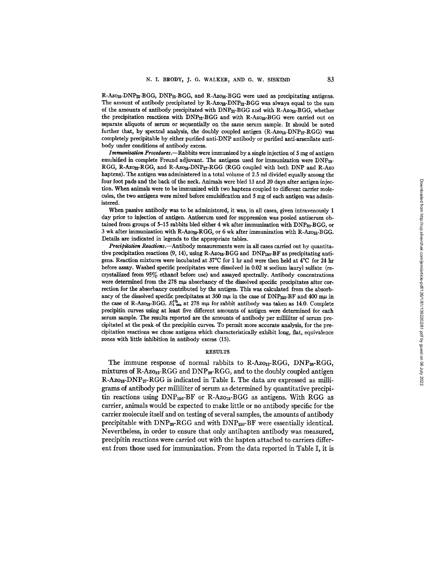$R-Azo_{15}-DNP_{21}-BGG$ ,  $DNP_{21}-BGG$ , and  $R-Azo_{15}-BGG$  were used as precipitating antigens. The amount of antibody precipitated by  $R-Az$ o<sub>15</sub>-DNP<sub>21</sub>-BGG was always equal to the sum of the amounts of antibody precipitated with DNP<sub>21</sub>-BGG and with R-Azo<sub>15</sub>-BGG, whether the precipitation reactions with  $DNP_{21}$ -BGG and with R-Azo<sub>15</sub>-BGG were carried out on separate aliquots of serum or sequentially on the same serum sample. It should be noted further that, by spectral analysis, the doubly coupled antigen  $(R-Az<sub>O16</sub>-DNP<sub>27</sub>-RGG)$  was completely preeipitable by either purified anti-DNP antibody or purified anfi-arsenilate antibody under conditions of antibody excess.

*Immunization Procedures.--Rabbits* were immunized by a single injection of 5 mg of antigen emulsified in complete Freund adjuvant. The antigens used for immunization were DNP2s-RGG, R-Azo $_{12}$ -RGG, and R-Azo $_{15}$ -DNP<sub>27</sub>-RGG (RGG coupled with both DNP and R-Azo haptens). The antigen was administered in a total volume of 2.5 ml divided equally among the four foot pads and the back of the neck. Animals were bled 13 and 20 days after antigen injection. When animals were to be immunized with two haptens coupled to different carrier molecules, the two antigens were mixed before emulsification and 5 mg of each antigen was administered.

When passive antibody was to be administered, it was, in all cases, given intravenously 1 day prior to injection of antigen. Antiserum used for suppression was pooled antiserum obtained from groups of 5-15 rabbits bled either 4 wk after immunization with  $\text{DNP}_{60}\text{-BGG}$ , or 3 wk after immunization with R-Azo $_{12}$ -RGG, or 6 wk after immunization with R-Azo $_{15}$ -BGG. Details are indicated in legends to the appropriate tables.

*Precipitation Reactions*.--Antibody measurements were in all cases carried out by quantitative precipitation reactions (9, 14), using R-Azo<sub>15</sub>-BGG and DNP<sub>150</sub>-BF as precipitating antigens. Reaction mixtures were incubated at 37°C for 1 hr and were then held at 4°C for 24 hr before assay. Washed specific precipitates were dissolved in 0.02  $\text{M}$  sodium lauryl sulfate (recrystallized from 95% ethanol before use) and assayed spectrally. Antibody concentrations were determined from the  $278 \text{ m}\mu$  absorbancy of the dissolved specific precipitates after correction for the absorbancy contributed by the antigen. This was calculated from the absorbancy of the dissolved specific precipitates at 360 m $\mu$  in the case of DNP<sub>150</sub>-BF and 400 m $\mu$  in the case of R-Azo<sub>15</sub>-BGG.  $E_1^{1\%}$  at 278 m $\mu$  for rabbit antibody was taken as 14.0. Complete precipitin curves using at least five different amounts of antigen were determined for each serum sample. The results reported are the amounts of antibody per milliliter of serum precipitated at the peak of the precipitin curves. To permit more accurate analysis, for the precipitation reactions we chose antigens which characteristically exhibit long, fiat, equivalence zones with little inhibition in antibody excess (15).

#### RESULTS

The immune response of normal rabbits to  $R-Az_{012}-RGG$ ,  $DNP_{28}-RGG$ , mixtures of  $R-Az_{O12}-RGG$  and  $DNP_{28}-RGG$ , and to the doubly coupled antigen  $R-Azo_{16}-DNP_{27}-RGG$  is indicated in Table I. The data are expressed as milligrams of antibody per milliliter of serum as determined by quantitative precipitin reactions using  $DNP<sub>150</sub>-BF$  or R-Azo<sub>15</sub>-BGG as antigens. With RGG as carrier, animals would be expected to make little or no antibody specific for the carrier molecule itself and on testing of several samples, the amounts of antibody precipitable with DNP<sub>28</sub>-RGG and with DNP<sub>150</sub>-BF were essentially identical. Nevertheless, in order to ensure that only antihapten antibody was measured, precipitin reactions were carried out with the hapten attached to carriers different from those used for immunization. From the data reported in Table I, it is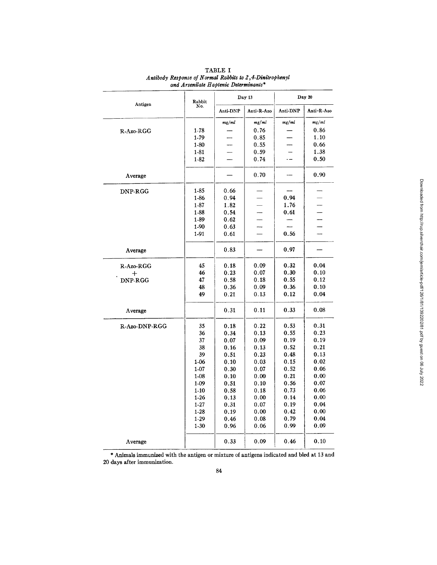| Antigen<br>R-Azo-RGG | No.<br>$1 - 78$<br>$1-79$<br>$1-80$<br>$1 - 81$<br>$1 - 82$ | Anti-DNP<br>mg/ml | Anti-R-Azo<br>mg/ml<br>0.76<br>0.85 | Anti-DNP<br>mg/ml | Anti-R-Azo<br>mg/ml<br>0.86 |
|----------------------|-------------------------------------------------------------|-------------------|-------------------------------------|-------------------|-----------------------------|
|                      |                                                             |                   |                                     |                   |                             |
|                      |                                                             |                   |                                     |                   |                             |
|                      |                                                             |                   |                                     |                   |                             |
|                      |                                                             |                   |                                     |                   | 1.10                        |
|                      |                                                             |                   | 0.55                                |                   | 0.66                        |
|                      |                                                             |                   | 0.59                                |                   | 1.38                        |
|                      |                                                             |                   | 0.74                                | .                 | 0.50                        |
| Average              |                                                             |                   | 0.70                                |                   | 0.90                        |
| DNP-RGG              | $1 - 85$                                                    | 0.66              |                                     |                   |                             |
|                      | 1-86                                                        | 0.94              |                                     | 0.94              |                             |
|                      | $1-87$                                                      | 1.82              |                                     | 1.76              |                             |
|                      | 1-88                                                        | 0.54              |                                     | 0.61              |                             |
|                      | 1-89                                                        | 0.62              |                                     |                   |                             |
|                      | $1-90$                                                      | 0.63              |                                     |                   |                             |
|                      | 1-91                                                        | 0.61              |                                     | 0.56              |                             |
| Average              |                                                             | 0.83              |                                     | 0.97              |                             |
| R-Azo-RGG            | 45                                                          | 0.18              | 0.09                                | 0.32              | 0.04                        |
| $\div$               | 46                                                          | 0.23              | 0.07                                | 0.30              | 0.10                        |
| DNP-RGG              | 47                                                          | 0.58              | 0.18                                | 0.55              | 0.12                        |
|                      | 48                                                          | 0.36              | 0.09                                | 0.36              | 0.10                        |
|                      | 49                                                          | 0.21              | 0.13                                | 0.12              | 0.04                        |
| Average              |                                                             | 0.31              | 0.11                                | 0.33              | 0.08                        |
| R-Azo-DNP-RGG        | 35                                                          | 0.18              | 0.22                                | 0.53              | 0.31                        |
|                      | 36                                                          | 0.34              | 0.13                                | 0.55              | 0.23                        |
|                      | 37                                                          | 0.07              | 0.09                                | 0.19              | 0.19                        |
|                      | 38                                                          | 0.16              | 0.13                                | 0.52              | 0.21                        |
|                      | 39                                                          | 0.51              | 0.23                                | 0.48              | 0.13                        |
|                      | $1-06$                                                      | 0.10              | 0.03                                | 0.15              | 0.02                        |
|                      | $1-07$                                                      | 0.30              | 0.07                                | 0.52              | 0.06                        |
|                      | $1 - 08$                                                    | 0.10              | 0.00                                | 0.21              | 0.00                        |
|                      | 1-09                                                        | 0.51              | 0.10                                | 0.56              | 0.07                        |
|                      | $1-10$                                                      | 0.58              | 0.18                                | 0.73              | 0.06                        |
|                      | $1-26$                                                      | 0.13              | 0.00                                | 0.14              | 0.00                        |
|                      | $1 - 27$                                                    | 0.31              | 0.07                                | 0.19              | 0.04                        |
|                      | $1 - 28$                                                    | 0.19              | 0.00                                | 0.42              | 0.00                        |
|                      | $1-29$                                                      | 0.46              | 0.08                                | 0.79              | 0.04                        |
|                      | $1-30$                                                      | 0.96              | 0.06                                | 0.99              | 0.09                        |
| Average              |                                                             | 0.33              | 0.09                                | 0.46              | 0.10                        |

TABLE I *A ntibody Response of Normal Rabbits to 2,4-Dinitrophenyl and Arsenilate tta ~tenic Determinants\** 

\* Animals immunized with the antigen or mixture of antigens indicated and bled at 13 and 20 days after immunization.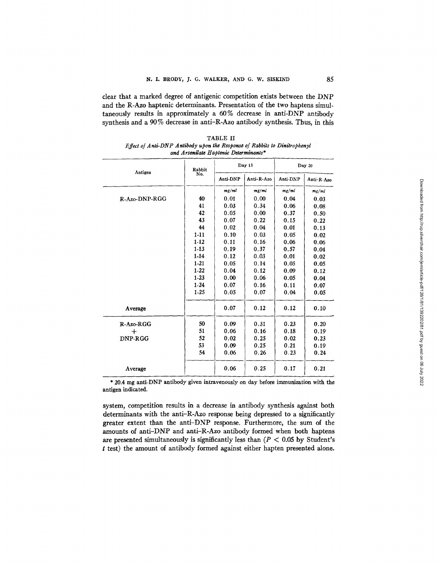clear that a marked degree of antigenic competition exists between the DNP and the R-Azo haptenic determinants. Presentation of the two haptens simultaneously results in approximately a 60% decrease in anti-DNP antibody synthesis and a 90 % decrease in anti-R-Azo antibody synthesis. Thus, in this

TABLE II *Effect of Anti-DNP Antibody upon the Response of Rabbits to Dinitrophenyl*  and Arsenilate Haptenic Determinants\*

| Antigen       | Rabbit<br>No. | Day 13   |            | Day 20   |                    |
|---------------|---------------|----------|------------|----------|--------------------|
|               |               | Anti-DNP | Anti-R-Azo | Anti-DNP | Anti-R-Azo         |
|               |               | mg/ml    | mg/ml      | mg/ml    | $m_{\tilde{K}}/ml$ |
| R-Azo-DNP-RGG | 40            | 0.01     | 0.00       | 0.04     | 0.03               |
|               | 41            | 0.03     | 0.34       | 0.06     | 0.08               |
|               | 42            | 0.05     | 0.00       | 0.37     | 0.50               |
|               | 43            | 0.07     | 0.22       | 0.15     | 0.22               |
|               | 44            | 0.02     | 0.04       | 0.01     | 0.13               |
|               | $1-11$        | 0.10     | 0.03       | 0.05     | 0.02               |
|               | $1-12$        | 0.11     | 0.16       | 0.06     | 0.06               |
|               | $1-13$        | 0.19     | 0.37       | 0.57     | 0.04               |
|               | $1 - 14$      | 0.12     | 0.03       | 0.01     | 0.02               |
|               | $1 - 21$      | 0.05     | 0.14       | 0.05     | 0.05               |
|               | $1 - 22$      | 0.04     | 0.12       | 0.09     | 0.12               |
|               | $1 - 23$      | 0.00     | 0.06       | 0.05     | 0.04               |
|               | $1 - 24$      | 0.07     | 0.16       | 0.11     | 0.07               |
|               | $1 - 25$      | 0.05     | 0.07       | 0.04     | 0.05               |
| Average       |               | 0.07     | 0.12       | 0.12     | 0.10               |
| R-Azo-RGG     | 50            | 0.09     | 0.31       | 0.23     | 0.20               |
| ┿             | 51            | 0.06     | 0.16       | 0.18     | 0.19               |
| DNP-RGG       | 52            | 0.02     | 0.25       | 0.02     | 0.23               |
|               | 53            | 0.09     | 0.25       | 0.21     | 0.19               |
|               | 54            | 0.06     | 0.26       | 0.23     | 0.24               |
| Average       |               | 0.06     | 0.25       | 0.17     | 0.21               |

\* 20.4 mg anti-DNP antibody given intravenously on day before immunization with the antigen indicated.

system, competition results in a decrease in antibody synthesis against both determinants with the anti-R-Azo response being depressed to a significantly greater extent than the anti-DNP response. Furthermore, the sum of the amounts of anti-DNP and anti-R-Azo antibody formed when both haptens are presented simultaneously is significantly less than  $(P < 0.05$  by Student's  *test) the amount of antibody formed against either hapten presented alone.*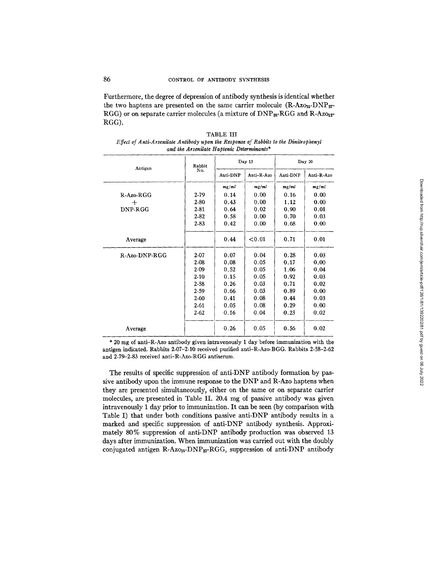Furthermore, the degree of depression of antibody synthesis is identical whether the two haptens are presented on the same carrier molecule  $(R-Az0_{15}-DNP_{27}-$ RGG) or on separate carrier molecules (a mixture of DNP<sub>28</sub>-RGG and R-Azo<sub>12</sub>-RGG).

| Antigen       | Rabbit   | Day 13   |            | Day 20   |            |
|---------------|----------|----------|------------|----------|------------|
|               | No.      | Anti-DNP | Anti-R-Azo | Anti-DNP | Anti-R-Azo |
|               |          | mg/ml    | mg/ml      | mg/ml    | mg/ml      |
| R-Azo-RGG     | $2 - 79$ | 0.14     | 0.00       | 0.16     | 0.00       |
| ┿             | 2-80     | 0.43     | 0.00       | 1.12     | 0.00       |
| DNP-RGG       | $2-81$   | 0.64     | 0.02       | 0.90     | 0.01       |
|               | $2 - 82$ | 0.58     | 0.00       | 0.70     | 0.03       |
|               | $2 - 83$ | 0.42     | 0.00       | 0.68     | 0.00       |
| Average       |          | 0.44     | < 0.01     | 0.71     | 0.01       |
| R-Azo-DNP-RGG | $2 - 07$ | 0.07     | 0.04       | 0.28     | 0.03       |
|               | $2 - 08$ | 0.08     | 0.05       | 0.17     | 0.00       |
|               | $2-09$   | 0.52     | 0.05       | 1.06     | 0.04       |
|               | $2 - 10$ | 0.15     | 0.05       | 0.92     | 0.03       |
|               | $2 - 58$ | 0.26     | 0.03       | 0.71     | 0.02       |
|               | $2 - 59$ | 0.66     | 0.03       | 0.89     | 0.00       |
|               | 2-60     | 0.41     | 0.08       | 0.44     | 0.03       |
|               | $2 - 61$ | 0.05     | 0.08       | 0.29     | 0.00       |
|               | $2 - 62$ | 0.16     | 0.04       | 0.23     | 0.02       |
| Average       |          | 0.26     | 0.05       | 0.56     | 0.02       |

TABLE III *Effect of Anti-Arsenilate Antibody upon the Response of Rabbits to the Dinitrophenyl and the Arsenilate ttaptenic Determinants\** 

\* 20 mg of anti-R-Azo antibody given intravenously 1 day before immunization with the antigen indicated. Rabbits 2-07-2-10 received purified anti-R-Azo-BGG. Rabbits 2-58-2-62 and 2-79-2-83 received anti-R-Azo-RGG antiserum.

The results of specific suppression of anti-DNP antibody formation by passive antibody upon the immune response to the DNP and R-Azo haptens when they are presented simultaneously, either on the same or on separate carrier molecules, are presented in Table II. 20.4 mg of passive antibody was given intravenously 1 day prior to immunization. It can be seen (by comparison with Table I) that under both conditions passive anti-DNP antibody results in a marked and specific suppression of anti-DNP antibody synthesis. Approximately 80% suppression of anti-DNP antibody production was observed 13 days after immunization. When immunization was carried out with the doubly conjugated antigen  $R-Azo_{15}-DNP_{27}-RGG$ , suppression of anti-DNP antibody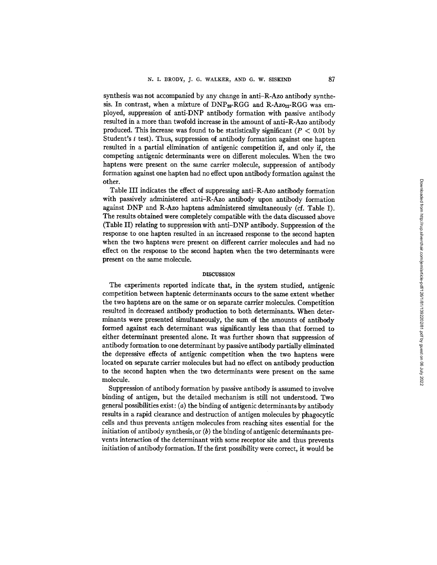synthesis was not accompanied by any change in anti-R-Azo antibody synthesis. In contrast, when a mixture of DNP<sub>28</sub>-RGG and R-Azo<sub>12</sub>-RGG was employed, suppression of anti-DNP antibody formation with passive antibody resulted in a more than twofold increase in the amount of anti-R-Azo antibody produced. This increase was found to be statistically significant ( $P < 0.01$  by Student's  $t$  test). Thus, suppression of antibody formation against one hapten resulted in a partial elimination of antigenic competition if, and only if, the competing antigenic determinants were on different molecules. When the two haptens were present on the same carrier molecule, suppression of antibody formation against one hapten had no effect upon antibody formation against the other.

Table III indicates the effect of suppressing anti-R-Azo antibody formation with passively administered anti-R-Azo antibody upon antibody formation against DNP and R-Azo haptens administered simultaneously (cf. Table I). The results obtained were completely compatible with the data discussed above (Table II) relating to suppression with anti-DNP antibody. Suppression of the response to one hapten resulted in an increased response to the second hapten when the two haptens were present on different carrier molecules and had no effect on the response to the second hapten when the two determinants were present on the same molecule.

#### **DISCUSSION**

The experiments reported indicate that, in the system studied, antigenic competition between haptenic determinants occurs to the same extent whether the two haptens are on the same or on separate carrier molecules. Competition resulted in decreased antibody production to both determinants. When determinants were presented simultaneously, the sum of the amounts of antibody formed against each determinant was significantly less than that formed to either determinant presented alone. It was further shown that suppression of antibody formation to one determinant by passive antibody partially eliminated the depressive effects of antigenic competition when the two haptens were located on separate carrier molecules but had no effect on antibody production to the second hapten when the two determinants were present on the same molecule.

Suppression of antibody formation by passive antibody is assumed to involve binding of antigen, but the detailed mechanism is still not understood. Two general possibilities exist:  $(a)$  the binding of antigenic determinants by antibody results in a rapid clearance and destruction of antigen molecules by phagocytic cells and thus prevents antigen molecules from reaching sites essential for the initiation of antibody synthesis, or  $(b)$  the binding of antigenic determinants prevents interaction of the determinant with some receptor site and thus prevents initiation of antibody formation. If the first possibility were correct, it would be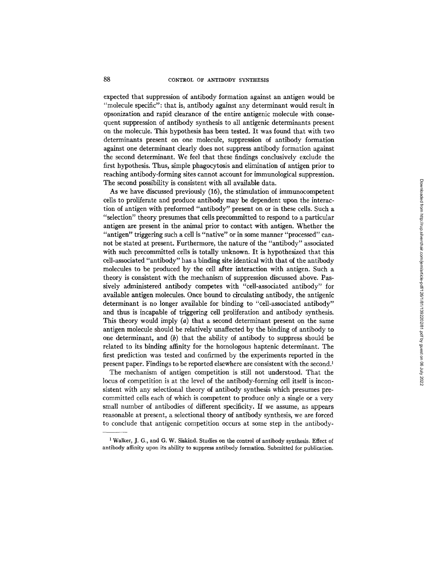expected that suppression of antibody formation against an antigen would be "molecule specific": that is, antibody against any determinant would result in opsonization and rapid clearance of the entire antigenic molecule with consequent suppression of antibody synthesis to all antigenic determinants present on the molecule. This hypothesis has been tested. It was found that with two determinants present on one molecule, suppression of antibody formation against one determinant clearly does not suppress antibody formation against the second determinant. We feel that these findings conclusively exclude the first hypothesis. Thus, simple phagocytosis and elimination of antigen prior to reaching antibody-forming sites cannot account for immunological suppression. The second possibility is consistent with all available data.

As we have discussed previously (16), the stimulation of immunocompetent cells to proliferate and produce antibody may be dependent upon the interaction of antigen with preformed "antibody" present on or in these cells. Such a "selection" theory presumes that cells precommitted to respond to a particular antigen are present in the animal prior to contact with antigen. Whether the "antigen" triggering such a cell is "native" or in some manner "processed" cannot be stated at present. Furthermore, the nature of the "antibody" associated with such precommitted cells is totally unknown. It is hypothesized that this cell-associated "antibody" has a binding site identical with that of the antibody molecules to be produced by the cell after interaction with antigen. Such a theory is consistent with the mechanism of suppression discussed above. Passively administered antibody competes with "cell-associated antibody" for available antigen molecules. Once bound to circulating antibody, the antigenic determinant is no longer available for binding to "cell-associated antibody" and thus is incapable of triggering cell proliferation and antibody synthesis. This theory would imply  $(a)$  that a second determinant present on the same antigen molecule should be relatively unaffected by the binding of antibody to one determinant, and  $(b)$  that the ability of antibody to suppress should be related to its binding affinity for the homologous haptenic determinant. The first prediction was tested and confirmed by the experiments reported in the present paper. Findings to be reported elsewhere are consistent with the second2

The mechanism of antigen competition is still not understood. That the locus of competition is at the level of the antibody-forming cell itself is inconsistent with any selectional theory of antibody synthesis which presumes precommitted cells each of which is competent to produce only a single or a very small number of antibodies of different specificity. If we assume, as appears reasonable at present, a selectional theory of antibody synthesis, we are forced to conclude that antigenic competition occurs at some step in the antibody-

<sup>1</sup> Walker, J. G., and G. W. Siskind. Studies on the control of antibody synthesis. Effect of antibody affinity upon its ability to suppress antibody formation. Submitted for publication.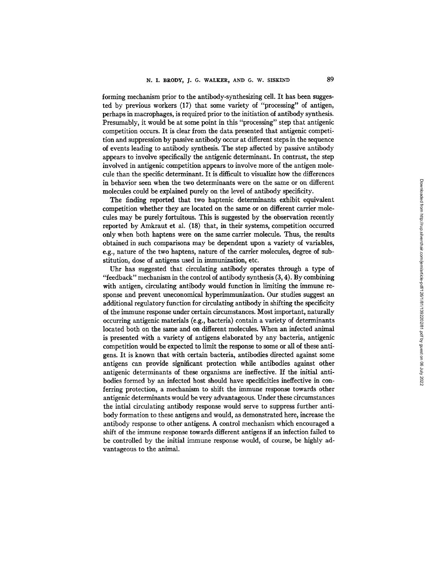forming mechanism prior to the antibody-synthesizing cell. It has been suggested by previous workers (17) that some variety of "processing" of antigen, perhaps in macrophages, is required prior to the initiation of antibody synthesis. Presumably, it would be at some point in this "processing" step that antigenic competition occurs. It is clear from the data presented that antigenic competition and suppression by passive antibody occur at different steps in the sequence of events leading to antibody synthesis. The step affected by passive antibody appears to involve specifically the antigenic determinant. In contrast, the step involved in antigenic competition appears to involve more of the antigen molecule than the specific determinant. It is difficult to visualize how the differences in behavior seen when the two determinants were on the same or on different molecules could be explained purely on the level of antibody specificity.

The finding reported that two haptenic determinants exhibit equivalent competition whether they are located on the same or on different carrier molecules may be purely fortuitous. This is suggested by the observation recently reported by Arnkraut et al. (18) that, in their systems, competition occurred only when both haptens were on the same carrier molecule. Thus, the results obtained in such comparisons may be dependent upon a variety of variables, e.g., nature of the two haptens, nature of the carrier molecules, degree of substitution, dose of antigens used in immunization, etc.

Uhr has suggested that circulating antibody operates through a type of "feedback" mechanism in the control of antibody synthesis  $(3, 4)$ . By combining with antigen, circulating antibody would function in limiting the immune response and prevent uneconomical hyperimmunization. Our studies suggest an additional regulatory function for circulating antibody in shifting the specificity of the immune response under certain circumstances. Most important, naturally occurring antigenic materials (e.g., bacteria) contain a variety of determinants located both on the same and on different molecules. When an infected animal is presented with a variety of antigens elaborated by any bacteria, antigenic competition would be expected to limit the response to some or all of these antigens. It is known that with certain bacteria, antibodies directed against some antigens can provide significant protection while antibodies against other antigenic determinants of these organisms are ineffective. If the initial antibodies formed by an infected host should have specificities ineffective in conferring protection, a mechanism to shift the immune response towards other antigenic determinants would be very advantageous. Under these circumstances the intial circulating antibody response would serve to suppress further antibody formation to these antigens and would, as demonstrated here, increase the antibody response to other antigens. A control mechanism which encouraged a shift of the immune response towards different antigens if an infection failed to be controlled by the initial immune response would, of course, be highly advantageous to the animal.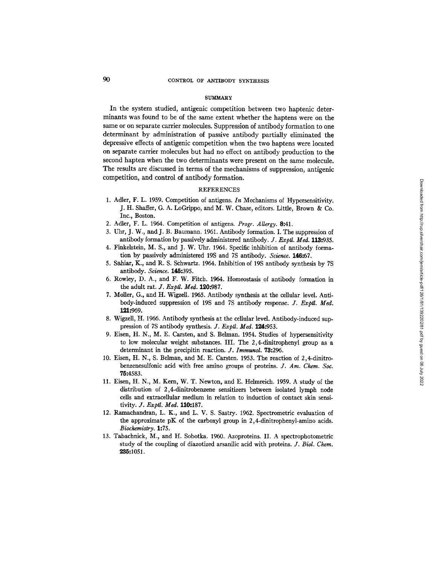#### **SUMMARY**

In the system studied, antigenic competition between two haptenic determinants was found to be of the same extent whether the haptens were on the same or on separate carrier molecules. Suppression of antibody formation to one determinant by administration of passive antibody partially eliminated the depressive effects of antigenic competition when the two haptens were located on separate carrier molecules but had no effect on antibody production to the second hapten when the two determinants were present on the same molecule. The results are discussed in terms of the mechanisms of suppression, antigenic competition, and control of antibody formation.

### REFERENCES

- 1. Adler, F. L. 1959. Competition of antigens. *In* Mechanisms of Hypersensitivity. J. H. Shaffer, G. A. LoGrippo, and M. W. Chase, editors. Little, Brown & Co. Inc., Boston.
- 2. Adler, F. L. 1964. Competition of antigens. *Progr. Allergy.* 8:41.
- 3. Uhr, J. W., and J. B. Baumann. 1961. Antibody formation. I. The suppression of antibody formation by passively administered antibody. *J. Exptl. Med.* 113:935.
- 4. Finkelstein, M. S., and J. W. Uhr. 1964. Specific inhibition of antibody formation by passively administered 19S and 7S antibody. *Science.* 146:67.
- 5. Sahiar, K., and R. S. Schwartz. 1964. Inhibition of 19S antibody synthesis by 7S antibody. *Science.* 145:395.
- 6. Rowley, D. A., and F. W. Fitch. 1964. Homeostasis of antibody formation in the adult rat. *J. Exptl. Med.* 120:987.
- 7. Moiler, G., and H. Wigzell. 1965. Antibody synthesis at the cellular level. Antibody-induced suppression of 19S and 7S antibody response. *J. Exptl. Med.*  121:969.
- 8. Wigzell, H. 1966. Antibody synthesis at the cellular level. Antibody-induced suppression of 7S antibody synthesis. *J. Exptl. Med.* 124:953.
- 9. Eisen, H. N., M. E. Carsten, and S. Belman. 1954. Studies of hypersensitivity to low molecular weight substances. III. The 2,4-dinitrophenyl group as a determinant in the precipitin reaction. *J. Immunol.* **73:**296.
- 10. Eisen, H. N., S. Be]man, and M. E. Carsten. 1953. The reaction of 2,4-dinitrobenzenesulfonic acid with free amino groups of proteins. *J. Am. Chem. Soc.*  75:4583.
- 11. Eisen, H. N., M. Kern, W. T. Newton, and E. Helmreich. 1959. A study of the distribution of 2,4-dinitrobenzene sensifizers between isolated lymph node ceils and extraceilular medium in relation to induction of contact skin sensitivity. *J. Exptl. Med.* 110:187.
- 12. Ramachandran, L. K., and L. V. S. Sastry. 1962. Spectrometric evaluation of the approximate pK of the carboxyl group in 2,4-dinitrophenyl-amino acids. *Biochemistry.* 1:75.
- 13. Tabachnick, M., and H. Sobotka. 1960. Azoproteins. II. A spectrophotometric study of the coupling of diazotized arsanilic acid with proteins. *J. Biol. Chem.*  235:1051.